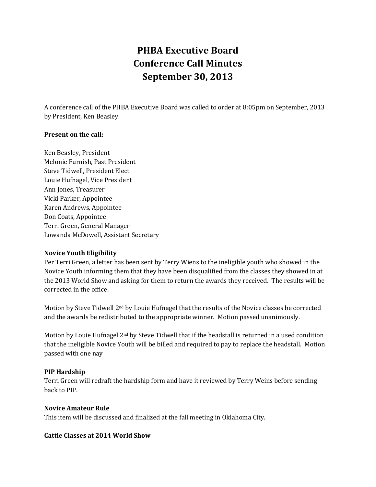# **PHBA Executive Board Conference Call Minutes September 30, 2013**

A conference call of the PHBA Executive Board was called to order at 8:05pm on September, 2013 by President, Ken Beasley

### **Present on the call:**

Ken Beasley, President Melonie Furnish, Past President Steve Tidwell, President Elect Louie Hufnagel, Vice President Ann Jones, Treasurer Vicki Parker, Appointee Karen Andrews, Appointee Don Coats, Appointee Terri Green, General Manager Lowanda McDowell, Assistant Secretary

#### **Novice Youth Eligibility**

Per Terri Green, a letter has been sent by Terry Wiens to the ineligible youth who showed in the Novice Youth informing them that they have been disqualified from the classes they showed in at the 2013 World Show and asking for them to return the awards they received. The results will be corrected in the office.

Motion by Steve Tidwell 2nd by Louie Hufnagel that the results of the Novice classes be corrected and the awards be redistributed to the appropriate winner. Motion passed unanimously.

Motion by Louie Hufnagel  $2<sup>nd</sup>$  by Steve Tidwell that if the headstall is returned in a used condition that the ineligible Novice Youth will be billed and required to pay to replace the headstall. Motion passed with one nay

## **PIP Hardship**

Terri Green will redraft the hardship form and have it reviewed by Terry Weins before sending back to PIP.

## **Novice Amateur Rule**

This item will be discussed and finalized at the fall meeting in Oklahoma City.

#### **Cattle Classes at 2014 World Show**